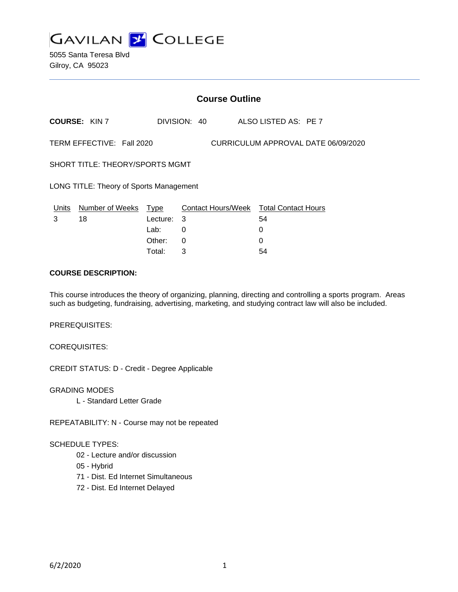

|                                                                  | <b>Course Outline</b> |             |                    |                            |  |
|------------------------------------------------------------------|-----------------------|-------------|--------------------|----------------------------|--|
|                                                                  | <b>COURSE: KIN 7</b>  |             | DIVISION: 40       | ALSO LISTED AS: PE 7       |  |
| CURRICULUM APPROVAL DATE 06/09/2020<br>TERM EFFECTIVE: Fall 2020 |                       |             |                    |                            |  |
| SHORT TITLE: THEORY/SPORTS MGMT                                  |                       |             |                    |                            |  |
| LONG TITLE: Theory of Sports Management                          |                       |             |                    |                            |  |
| Units                                                            | Number of Weeks       | <u>Type</u> | Contact Hours/Week | <b>Total Contact Hours</b> |  |
| 3                                                                | 18                    | Lecture:    | 3                  | 54                         |  |
|                                                                  |                       | Lab:        | 0                  | 0                          |  |
|                                                                  |                       | Other:      | 0                  | 0                          |  |

Total: 3 54

## **COURSE DESCRIPTION:**

This course introduces the theory of organizing, planning, directing and controlling a sports program. Areas such as budgeting, fundraising, advertising, marketing, and studying contract law will also be included.

PREREQUISITES:

COREQUISITES:

CREDIT STATUS: D - Credit - Degree Applicable

GRADING MODES L - Standard Letter Grade

REPEATABILITY: N - Course may not be repeated

# SCHEDULE TYPES:

- 02 Lecture and/or discussion
- 05 Hybrid
- 71 Dist. Ed Internet Simultaneous
- 72 Dist. Ed Internet Delayed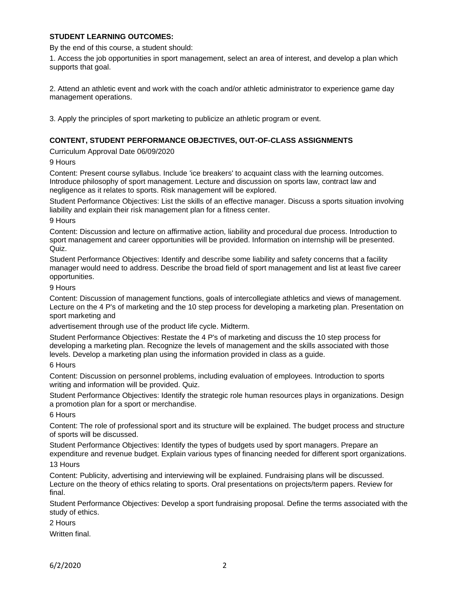# **STUDENT LEARNING OUTCOMES:**

By the end of this course, a student should:

1. Access the job opportunities in sport management, select an area of interest, and develop a plan which supports that goal.

2. Attend an athletic event and work with the coach and/or athletic administrator to experience game day management operations.

3. Apply the principles of sport marketing to publicize an athletic program or event.

## **CONTENT, STUDENT PERFORMANCE OBJECTIVES, OUT-OF-CLASS ASSIGNMENTS**

Curriculum Approval Date 06/09/2020

9 Hours

Content: Present course syllabus. Include 'ice breakers' to acquaint class with the learning outcomes. Introduce philosophy of sport management. Lecture and discussion on sports law, contract law and negligence as it relates to sports. Risk management will be explored.

Student Performance Objectives: List the skills of an effective manager. Discuss a sports situation involving liability and explain their risk management plan for a fitness center.

9 Hours

Content: Discussion and lecture on affirmative action, liability and procedural due process. Introduction to sport management and career opportunities will be provided. Information on internship will be presented. Quiz.

Student Performance Objectives: Identify and describe some liability and safety concerns that a facility manager would need to address. Describe the broad field of sport management and list at least five career opportunities.

9 Hours

Content: Discussion of management functions, goals of intercollegiate athletics and views of management. Lecture on the 4 P's of marketing and the 10 step process for developing a marketing plan. Presentation on sport marketing and

advertisement through use of the product life cycle. Midterm.

Student Performance Objectives: Restate the 4 P's of marketing and discuss the 10 step process for developing a marketing plan. Recognize the levels of management and the skills associated with those levels. Develop a marketing plan using the information provided in class as a guide.

6 Hours

Content: Discussion on personnel problems, including evaluation of employees. Introduction to sports writing and information will be provided. Quiz.

Student Performance Objectives: Identify the strategic role human resources plays in organizations. Design a promotion plan for a sport or merchandise.

6 Hours

Content: The role of professional sport and its structure will be explained. The budget process and structure of sports will be discussed.

Student Performance Objectives: Identify the types of budgets used by sport managers. Prepare an expenditure and revenue budget. Explain various types of financing needed for different sport organizations.

13 Hours

Content: Publicity, advertising and interviewing will be explained. Fundraising plans will be discussed. Lecture on the theory of ethics relating to sports. Oral presentations on projects/term papers. Review for final.

Student Performance Objectives: Develop a sport fundraising proposal. Define the terms associated with the study of ethics.

2 Hours

Written final.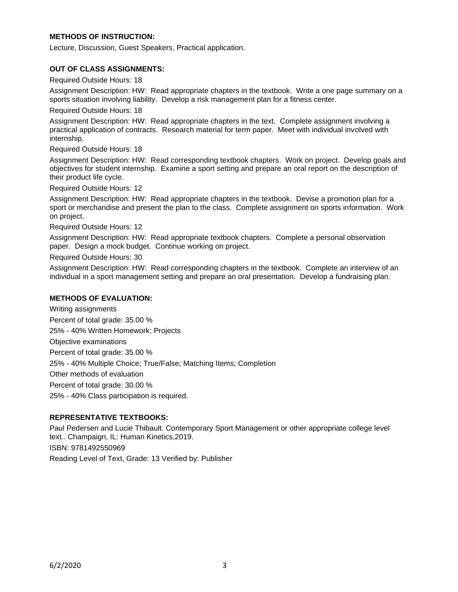# **METHODS OF INSTRUCTION:**

Lecture, Discussion, Guest Speakers, Practical application.

### **OUT OF CLASS ASSIGNMENTS:**

Required Outside Hours: 18

Assignment Description: HW: Read appropriate chapters in the textbook. Write a one page summary on a sports situation involving liability. Develop a risk management plan for a fitness center.

Required Outside Hours: 18

Assignment Description: HW: Read appropriate chapters in the text. Complete assignment involving a practical application of contracts. Research material for term paper. Meet with individual involved with internship.

Required Outside Hours: 18

Assignment Description: HW: Read corresponding textbook chapters. Work on project. Develop goals and objectives for student internship. Examine a sport setting and prepare an oral report on the description of their product life cycle.

Required Outside Hours: 12

Assignment Description: HW: Read appropriate chapters in the textbook. Devise a promotion plan for a sport or merchandise and present the plan to the class. Complete assignment on sports information. Work on project.

Required Outside Hours: 12

Assignment Description: HW: Read appropriate textbook chapters. Complete a personal observation paper. Design a mock budget. Continue working on project.

Required Outside Hours: 30

Assignment Description: HW: Read corresponding chapters in the textbook. Complete an interview of an individual in a sport management setting and prepare an oral presentation. Develop a fundraising plan.

### **METHODS OF EVALUATION:**

Writing assignments Percent of total grade: 35.00 % 25% - 40% Written Homework; Projects Objective examinations Percent of total grade: 35.00 % 25% - 40% Multiple Choice; True/False; Matching Items; Completion Other methods of evaluation Percent of total grade: 30.00 % 25% - 40% Class participation is required.

#### **REPRESENTATIVE TEXTBOOKS:**

Paul Pedersen and Lucie Thibault. Contemporary Sport Management or other appropriate college level text.. Champaign, IL: Human Kinetics,2019. ISBN: 9781492550969 Reading Level of Text, Grade: 13 Verified by: Publisher